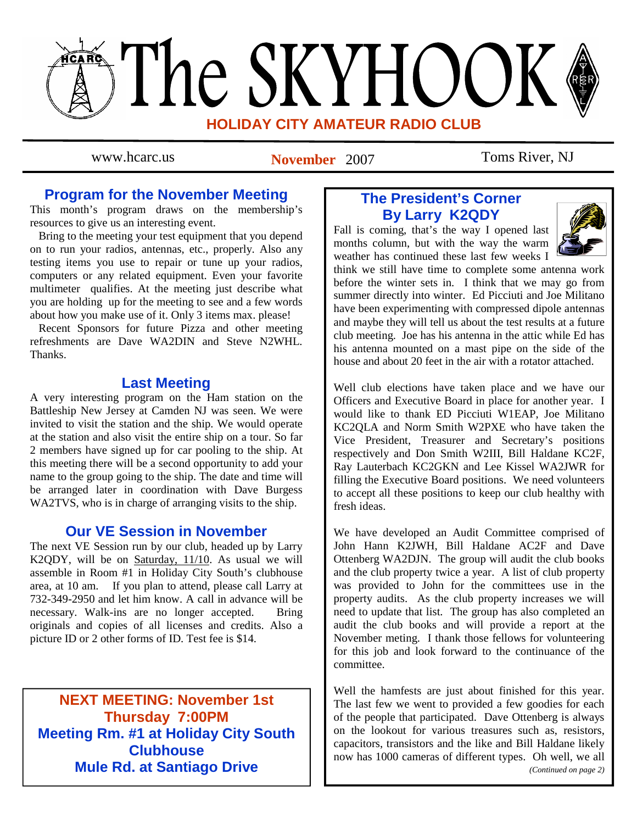# The SKYHOOK **HOLIDAY CITY AMATEUR RADIO CLUB**

www.hcarc.us **November** 2007 Toms River, NJ

# **Program for the November Meeting**

This month's program draws on the membership's resources to give us an interesting event.

 Bring to the meeting your test equipment that you depend on to run your radios, antennas, etc., properly. Also any testing items you use to repair or tune up your radios, computers or any related equipment. Even your favorite multimeter qualifies. At the meeting just describe what you are holding up for the meeting to see and a few words about how you make use of it. Only 3 items max. please!

 Recent Sponsors for future Pizza and other meeting refreshments are Dave WA2DIN and Steve N2WHL. **Thanks** 

# **Last Meeting**

A very interesting program on the Ham station on the Battleship New Jersey at Camden NJ was seen. We were invited to visit the station and the ship. We would operate at the station and also visit the entire ship on a tour. So far 2 members have signed up for car pooling to the ship. At this meeting there will be a second opportunity to add your name to the group going to the ship. The date and time will be arranged later in coordination with Dave Burgess WA2TVS, who is in charge of arranging visits to the ship.

# **Our VE Session in November**

The next VE Session run by our club, headed up by Larry K2QDY, will be on Saturday, 11/10. As usual we will assemble in Room #1 in Holiday City South's clubhouse area, at 10 am. If you plan to attend, please call Larry at 732-349-2950 and let him know. A call in advance will be necessary. Walk-ins are no longer accepted. Bring originals and copies of all licenses and credits. Also a picture ID or 2 other forms of ID. Test fee is \$14.

**NEXT MEETING: November 1st Thursday 7:00PM Meeting Rm. #1 at Holiday City South Clubhouse Mule Rd. at Santiago Drive** 

# **The President's Corner By Larry K2QDY**

Fall is coming, that's the way I opened last months column, but with the way the warm weather has continued these last few weeks I



think we still have time to complete some antenna work before the winter sets in. I think that we may go from summer directly into winter. Ed Picciuti and Joe Militano have been experimenting with compressed dipole antennas and maybe they will tell us about the test results at a future club meeting. Joe has his antenna in the attic while Ed has his antenna mounted on a mast pipe on the side of the house and about 20 feet in the air with a rotator attached.

Well club elections have taken place and we have our Officers and Executive Board in place for another year. I would like to thank ED Picciuti W1EAP, Joe Militano KC2QLA and Norm Smith W2PXE who have taken the Vice President, Treasurer and Secretary's positions respectively and Don Smith W2III, Bill Haldane KC2F, Ray Lauterbach KC2GKN and Lee Kissel WA2JWR for filling the Executive Board positions. We need volunteers to accept all these positions to keep our club healthy with fresh ideas.

We have developed an Audit Committee comprised of John Hann K2JWH, Bill Haldane AC2F and Dave Ottenberg WA2DJN. The group will audit the club books and the club property twice a year. A list of club property was provided to John for the committees use in the property audits. As the club property increases we will need to update that list. The group has also completed an audit the club books and will provide a report at the November meting. I thank those fellows for volunteering for this job and look forward to the continuance of the committee.

Well the hamfests are just about finished for this year. The last few we went to provided a few goodies for each of the people that participated. Dave Ottenberg is always on the lookout for various treasures such as, resistors, capacitors, transistors and the like and Bill Haldane likely now has 1000 cameras of different types. Oh well, we all *(Continued on page 2)*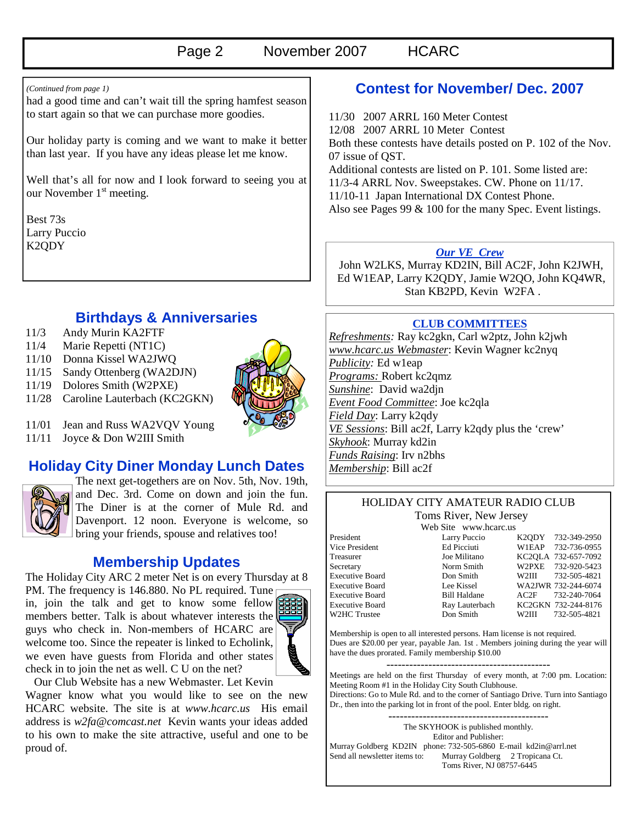had a good time and can't wait till the spring hamfest season to start again so that we can purchase more goodies.

Our holiday party is coming and we want to make it better than last year. If you have any ideas please let me know.

Well that's all for now and I look forward to seeing you at our November 1<sup>st</sup> meeting.

Best 73s Larry Puccio K2QDY

# **Birthdays & Anniversaries**

- 11/3 Andy Murin KA2FTF
- 11/4 Marie Repetti (NT1C)
- 11/10 Donna Kissel WA2JWQ
- 11/15 Sandy Ottenberg (WA2DJN)
- 11/19 Dolores Smith (W2PXE)
- 11/28 Caroline Lauterbach (KC2GKN)



- 11/01 Jean and Russ WA2VQV Young
- 11/11 Joyce & Don W2III Smith

## **Holiday City Diner Monday Lunch Dates**



The next get-togethers are on Nov. 5th, Nov. 19th, and Dec. 3rd. Come on down and join the fun. The Diner is at the corner of Mule Rd. and Davenport. 12 noon. Everyone is welcome, so bring your friends, spouse and relatives too!

# **Membership Updates**

The Holiday City ARC 2 meter Net is on every Thursday at 8

PM. The frequency is 146.880. No PL required. Tune in, join the talk and get to know some fellow members better. Talk is about whatever interests the guys who check in. Non-members of HCARC are welcome too. Since the repeater is linked to Echolink, we even have guests from Florida and other states check in to join the net as well. C U on the net?



Our Club Website has a new Webmaster. Let Kevin

Wagner know what you would like to see on the new HCARC website. The site is at *www.hcarc.us* His email address is *w2fa@comcast.net* Kevin wants your ideas added to his own to make the site attractive, useful and one to be proud of.

# *(Continued from page 1)* **Contest for November/ Dec. 2007**

11/30 2007 ARRL 160 Meter Contest 12/08 2007 ARRL 10 Meter Contest Both these contests have details posted on P. 102 of the Nov. 07 issue of QST. Additional contests are listed on P. 101. Some listed are: 11/3-4 ARRL Nov. Sweepstakes. CW. Phone on 11/17. 11/10-11 Japan International DX Contest Phone. Also see Pages 99 & 100 for the many Spec. Event listings.

#### *Our VE Crew*

 John W2LKS, Murray KD2IN, Bill AC2F, John K2JWH, Ed W1EAP, Larry K2QDY, Jamie W2QO, John KQ4WR, Stan KB2PD, Kevin W2FA .

#### **CLUB COMMITTEES**

*Refreshments:* Ray kc2gkn, Carl w2ptz, John k2jwh *www.hcarc.us Webmaster*: Kevin Wagner kc2nyq *Publicity:* Ed w1eap *Programs:* Robert kc2qmz *Sunshine*: David wa2djn *Event Food Committee*: Joe kc2qla *Field Day*: Larry k2qdy *VE Sessions*: Bill ac2f, Larry k2qdy plus the 'crew' *Skyhook*: Murray kd2in *Funds Raising*: Irv n2bhs *Membership*: Bill ac2f

#### HOLIDAY CITY AMATEUR RADIO CLUB Toms River, New Jersey

Web Site www.hcarc.us

President Larry Puccio K2QDY 732-349-2950 Vice President Ed Picciuti W1EAP 732-736-0955 Treasurer Joe Militano KC2QLA 732-657-7092 Secretary Norm Smith W2PXE 732-920-5423 Executive Board Don Smith W2III 732-505-4821 Executive Board Lee Kissel WA2JWR 732-244-6074 Executive Board Bill Haldane AC2F 732-240-7064 Executive Board Ray Lauterbach KC2GKN 732-244-8176 W2HC Trustee  $\sim$  Don Smith W2III 732-505-4821

Membership is open to all interested persons. Ham license is not required. Dues are \$20.00 per year, payable Jan. 1st . Members joining during the year will have the dues prorated. Family membership \$10.00

Meetings are held on the first Thursday of every month, at 7:00 pm. Location: Meeting Room #1 in the Holiday City South Clubhouse. Directions: Go to Mule Rd. and to the corner of Santiago Drive. Turn into Santiago

Dr., then into the parking lot in front of the pool. Enter bldg. on right.

------------------------------------------ The SKYHOOK is published monthly. Editor and Publisher: Murray Goldberg KD2IN phone: 732-505-6860 E-mail kd2in@arrl.net<br>Send all newsletter items to: Murray Goldberg 2 Tropicana Ct. Murray Goldberg 2 Tropicana Ct. Toms River, NJ 08757-6445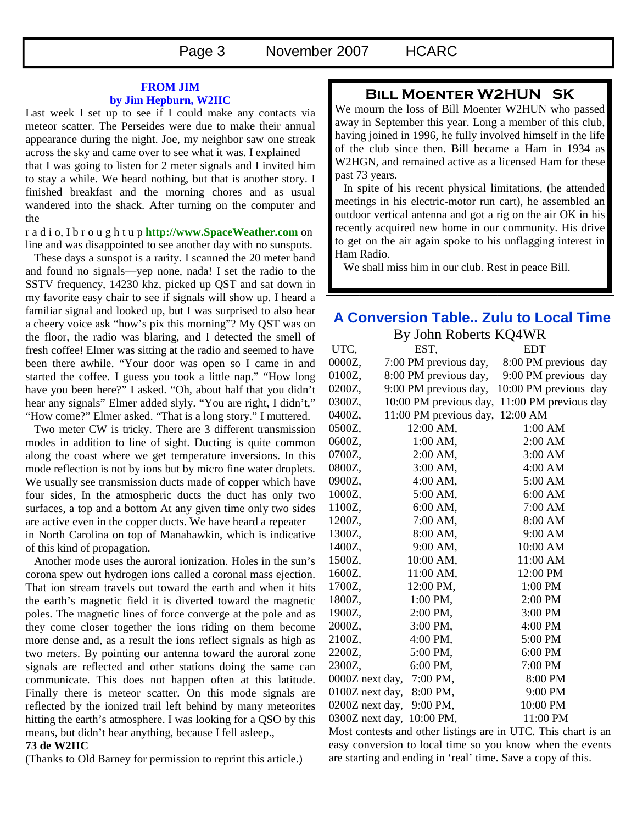#### **FROM JIM by Jim Hepburn, W2IIC**

Last week I set up to see if I could make any contacts via meteor scatter. The Perseides were due to make their annual appearance during the night. Joe, my neighbor saw one streak across the sky and came over to see what it was. I explained that I was going to listen for 2 meter signals and I invited him to stay a while. We heard nothing, but that is another story. I finished breakfast and the morning chores and as usual

wandered into the shack. After turning on the computer and the r a d i o, I b r o u g h t u p **http://www.SpaceWeather.com** on

line and was disappointed to see another day with no sunspots.

 These days a sunspot is a rarity. I scanned the 20 meter band and found no signals—yep none, nada! I set the radio to the SSTV frequency, 14230 khz, picked up QST and sat down in my favorite easy chair to see if signals will show up. I heard a familiar signal and looked up, but I was surprised to also hear a cheery voice ask "how's pix this morning"? My QST was on the floor, the radio was blaring, and I detected the smell of fresh coffee! Elmer was sitting at the radio and seemed to have been there awhile. "Your door was open so I came in and started the coffee. I guess you took a little nap." "How long have you been here?" I asked. "Oh, about half that you didn't hear any signals" Elmer added slyly. "You are right, I didn't," "How come?" Elmer asked. "That is a long story." I muttered.

 Two meter CW is tricky. There are 3 different transmission modes in addition to line of sight. Ducting is quite common along the coast where we get temperature inversions. In this mode reflection is not by ions but by micro fine water droplets. We usually see transmission ducts made of copper which have four sides, In the atmospheric ducts the duct has only two surfaces, a top and a bottom At any given time only two sides are active even in the copper ducts. We have heard a repeater in North Carolina on top of Manahawkin, which is indicative of this kind of propagation.

 Another mode uses the auroral ionization. Holes in the sun's corona spew out hydrogen ions called a coronal mass ejection. That ion stream travels out toward the earth and when it hits the earth's magnetic field it is diverted toward the magnetic poles. The magnetic lines of force converge at the pole and as they come closer together the ions riding on them become more dense and, as a result the ions reflect signals as high as two meters. By pointing our antenna toward the auroral zone signals are reflected and other stations doing the same can communicate. This does not happen often at this latitude. Finally there is meteor scatter. On this mode signals are reflected by the ionized trail left behind by many meteorites hitting the earth's atmosphere. I was looking for a QSO by this means, but didn't hear anything, because I fell asleep.,

#### **73 de W2IIC**

(Thanks to Old Barney for permission to reprint this article.)

### **Bill Moenter W2HUN SK**

We mourn the loss of Bill Moenter W2HUN who passed away in September this year. Long a member of this club, having joined in 1996, he fully involved himself in the life of the club since then. Bill became a Ham in 1934 as W2HGN, and remained active as a licensed Ham for these past 73 years.

 In spite of his recent physical limitations, (he attended meetings in his electric-motor run cart), he assembled an outdoor vertical antenna and got a rig on the air OK in his recently acquired new home in our community. His drive to get on the air again spoke to his unflagging interest in Ham Radio.

We shall miss him in our club. Rest in peace Bill.

# **A Conversion Table.. Zulu to Local Time**

| By John Roberts KQ4WR |                        |                       |
|-----------------------|------------------------|-----------------------|
| UTC,                  | EST,                   | <b>EDT</b>            |
| 0000Z,                | 7:00 PM previous day,  | 8:00 PM previous day  |
| 0100Z,                | 8:00 PM previous day,  | 9:00 PM previous day  |
| 0200Z,                | 9:00 PM previous day,  | 10:00 PM previous day |
| 0300Z,                | 10:00 PM previous day, | 11:00 PM previous day |
| 0400Z,                | 11:00 PM previous day, | 12:00 AM              |
| 0500Z,                | 12:00 AM,              | 1:00 AM               |
| 0600Z,                | 1:00 AM,               | 2:00 AM               |
| 0700Z,                | $2:00$ AM,             | 3:00 AM               |
| 0800Z,                | 3:00 AM,               | 4:00 AM               |
| 0900Z,                | 4:00 AM,               | 5:00 AM               |
| 1000Z,                | 5:00 AM,               | 6:00 AM               |
| 1100Z,                | 6:00 AM,               | 7:00 AM               |
| 1200Z,                | 7:00 AM,               | 8:00 AM               |
| 1300Z,                | 8:00 AM,               | 9:00 AM               |
| 1400Z,                | 9:00 AM,               | 10:00 AM              |
| 1500Z,                | 10:00 AM,              | 11:00 AM              |
| 1600Z,                | 11:00 AM,              | 12:00 PM              |
| 1700Z,                | 12:00 PM,              | 1:00 PM               |
| 1800Z,                | 1:00 PM,               | 2:00 PM               |
| 1900Z,                | 2:00 PM,               | 3:00 PM               |
| 2000Z,                | 3:00 PM,               | 4:00 PM               |
| 2100Z,                | 4:00 PM,               | 5:00 PM               |
| 2200Z,                | 5:00 PM,               | 6:00 PM               |
| 2300Z,                | 6:00 PM,               | 7:00 PM               |
| 0000Z next day,       | 7:00 PM,               | 8:00 PM               |
| 0100Z next day,       | 8:00 PM,               | 9:00 PM               |
| 0200Z next day,       | 9:00 PM,               | 10:00 PM              |
| 0300Z next day,       | 10:00 PM,              | 11:00 PM              |

Most contests and other listings are in UTC. This chart is an easy conversion to local time so you know when the events are starting and ending in 'real' time. Save a copy of this.